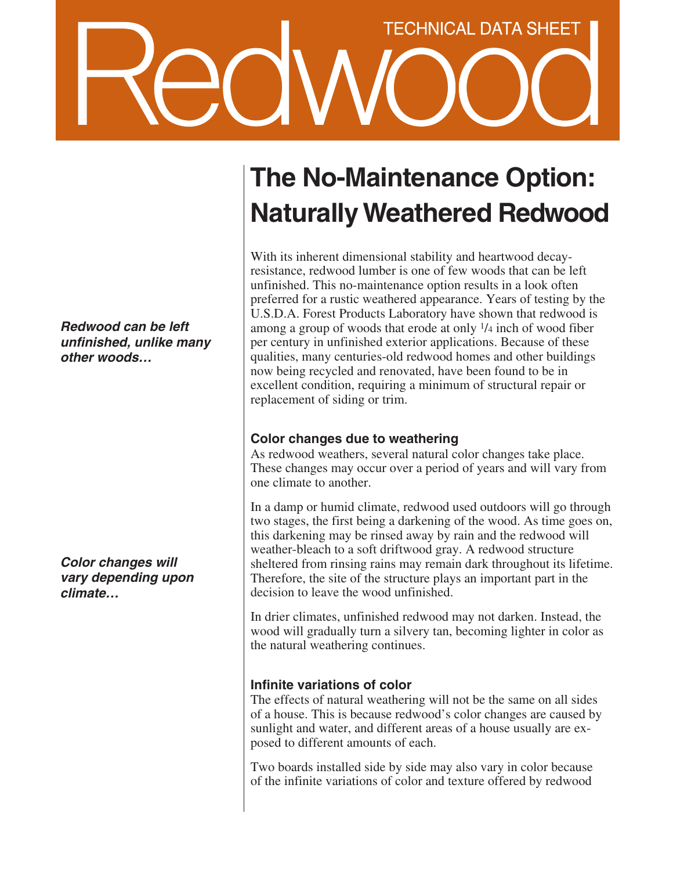# **TECHNICAL DATA SHEET**

**Redwood can be left unfinished, unlike many other woods…**

**Color changes will vary depending upon climate…**

## **The No-Maintenance Option: Naturally Weathered Redwood**

With its inherent dimensional stability and heartwood decayresistance, redwood lumber is one of few woods that can be left unfinished. This no-maintenance option results in a look often preferred for a rustic weathered appearance. Years of testing by the U.S.D.A. Forest Products Laboratory have shown that redwood is among a group of woods that erode at only 1/4 inch of wood fiber per century in unfinished exterior applications. Because of these qualities, many centuries-old redwood homes and other buildings now being recycled and renovated, have been found to be in excellent condition, requiring a minimum of structural repair or replacement of siding or trim.

#### **Color changes due to weathering**

As redwood weathers, several natural color changes take place. These changes may occur over a period of years and will vary from one climate to another.

In a damp or humid climate, redwood used outdoors will go through two stages, the first being a darkening of the wood. As time goes on, this darkening may be rinsed away by rain and the redwood will weather-bleach to a soft driftwood gray. A redwood structure sheltered from rinsing rains may remain dark throughout its lifetime. Therefore, the site of the structure plays an important part in the decision to leave the wood unfinished.

In drier climates, unfinished redwood may not darken. Instead, the wood will gradually turn a silvery tan, becoming lighter in color as the natural weathering continues.

### **Infinite variations of color**

The effects of natural weathering will not be the same on all sides of a house. This is because redwood's color changes are caused by sunlight and water, and different areas of a house usually are exposed to different amounts of each.

Two boards installed side by side may also vary in color because of the infinite variations of color and texture offered by redwood